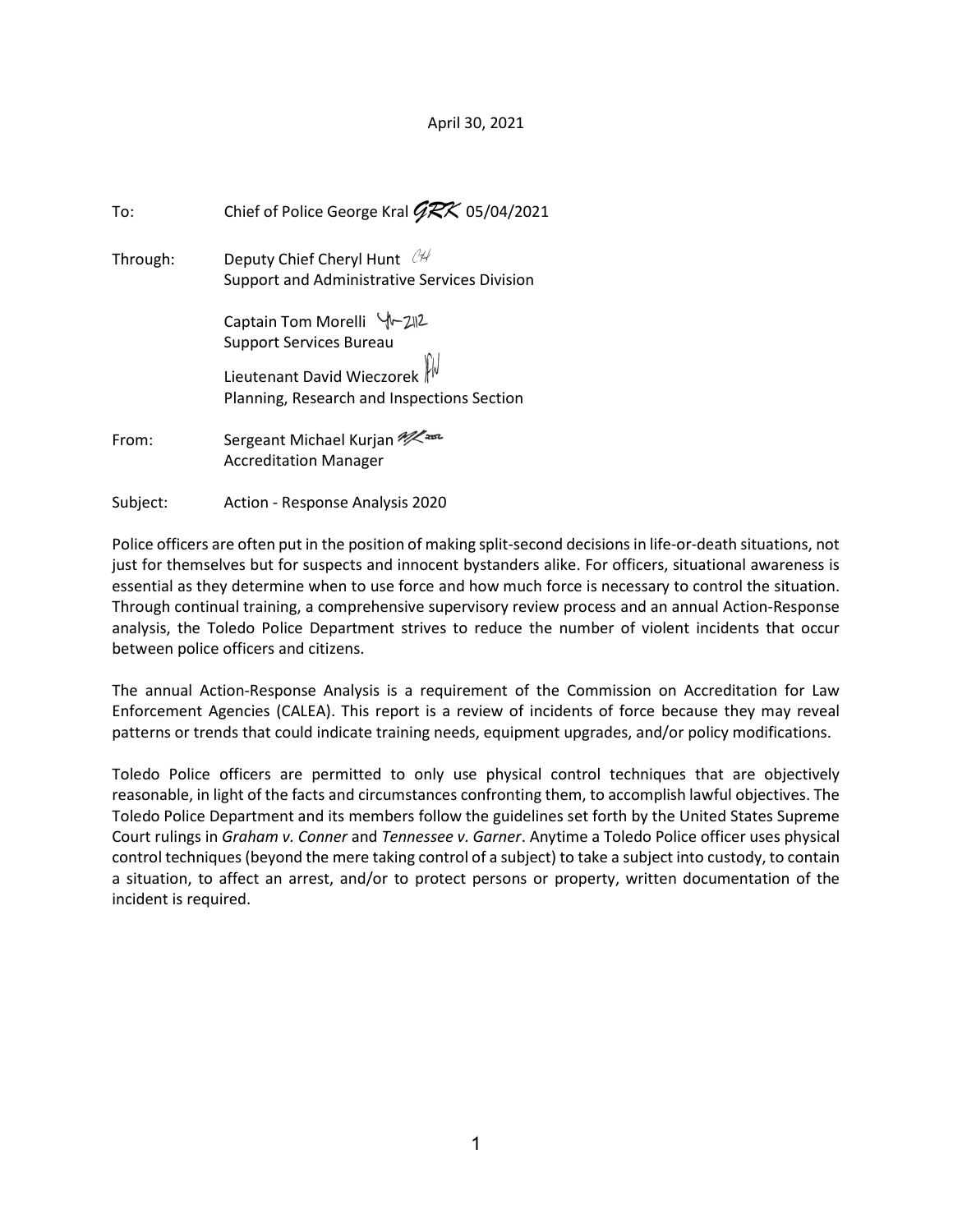#### April 30, 2021

| To:      | Chief of Police George Kral $\cancel{GRX}$ 05/04/2021                       |
|----------|-----------------------------------------------------------------------------|
| Through: | Deputy Chief Cheryl Hunt 04<br>Support and Administrative Services Division |
|          | Captain Tom Morelli Y-212<br><b>Support Services Bureau</b>                 |
|          | Lieutenant David Wieczorek                                                  |
|          | Planning, Research and Inspections Section                                  |
| From:    | Sergeant Michael Kurjan 22<br><b>Accreditation Manager</b>                  |

Subject: Action - Response Analysis 2020

Police officers are often put in the position of making split-second decisions in life-or-death situations, not just for themselves but for suspects and innocent bystanders alike. For officers, situational awareness is essential as they determine when to use force and how much force is necessary to control the situation. Through continual training, a comprehensive supervisory review process and an annual Action-Response analysis, the Toledo Police Department strives to reduce the number of violent incidents that occur between police officers and citizens.

The annual Action-Response Analysis is a requirement of the Commission on Accreditation for Law Enforcement Agencies (CALEA). This report is a review of incidents of force because they may reveal patterns or trends that could indicate training needs, equipment upgrades, and/or policy modifications.

Toledo Police officers are permitted to only use physical control techniques that are objectively reasonable, in light of the facts and circumstances confronting them, to accomplish lawful objectives. The Toledo Police Department and its members follow the guidelines set forth by the United States Supreme Court rulings in Graham v. Conner and Tennessee v. Garner. Anytime a Toledo Police officer uses physical control techniques (beyond the mere taking control of a subject) to take a subject into custody, to contain a situation, to affect an arrest, and/or to protect persons or property, written documentation of the incident is required.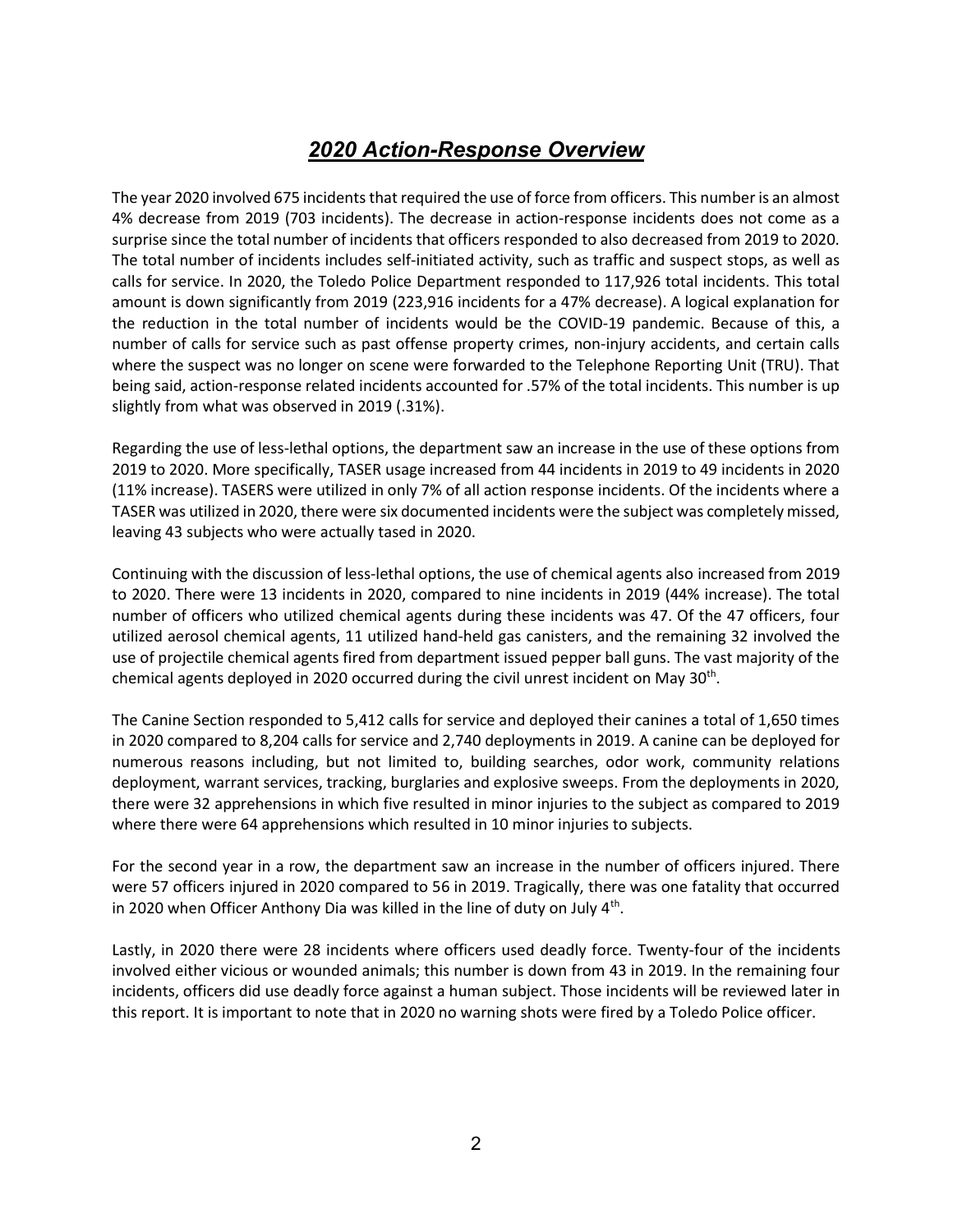# 2020 Action-Response Overview

The year 2020 involved 675 incidents that required the use of force from officers. This number is an almost 4% decrease from 2019 (703 incidents). The decrease in action-response incidents does not come as a surprise since the total number of incidents that officers responded to also decreased from 2019 to 2020. The total number of incidents includes self-initiated activity, such as traffic and suspect stops, as well as calls for service. In 2020, the Toledo Police Department responded to 117,926 total incidents. This total amount is down significantly from 2019 (223,916 incidents for a 47% decrease). A logical explanation for the reduction in the total number of incidents would be the COVID-19 pandemic. Because of this, a number of calls for service such as past offense property crimes, non-injury accidents, and certain calls where the suspect was no longer on scene were forwarded to the Telephone Reporting Unit (TRU). That being said, action-response related incidents accounted for .57% of the total incidents. This number is up slightly from what was observed in 2019 (.31%).

Regarding the use of less-lethal options, the department saw an increase in the use of these options from 2019 to 2020. More specifically, TASER usage increased from 44 incidents in 2019 to 49 incidents in 2020 (11% increase). TASERS were utilized in only 7% of all action response incidents. Of the incidents where a TASER was utilized in 2020, there were six documented incidents were the subject was completely missed, leaving 43 subjects who were actually tased in 2020.

Continuing with the discussion of less-lethal options, the use of chemical agents also increased from 2019 to 2020. There were 13 incidents in 2020, compared to nine incidents in 2019 (44% increase). The total number of officers who utilized chemical agents during these incidents was 47. Of the 47 officers, four utilized aerosol chemical agents, 11 utilized hand-held gas canisters, and the remaining 32 involved the use of projectile chemical agents fired from department issued pepper ball guns. The vast majority of the chemical agents deployed in 2020 occurred during the civil unrest incident on May 30<sup>th</sup>.

The Canine Section responded to 5,412 calls for service and deployed their canines a total of 1,650 times in 2020 compared to 8,204 calls for service and 2,740 deployments in 2019. A canine can be deployed for numerous reasons including, but not limited to, building searches, odor work, community relations deployment, warrant services, tracking, burglaries and explosive sweeps. From the deployments in 2020, there were 32 apprehensions in which five resulted in minor injuries to the subject as compared to 2019 where there were 64 apprehensions which resulted in 10 minor injuries to subjects.

For the second year in a row, the department saw an increase in the number of officers injured. There were 57 officers injured in 2020 compared to 56 in 2019. Tragically, there was one fatality that occurred in 2020 when Officer Anthony Dia was killed in the line of duty on July  $4<sup>th</sup>$ .

Lastly, in 2020 there were 28 incidents where officers used deadly force. Twenty-four of the incidents involved either vicious or wounded animals; this number is down from 43 in 2019. In the remaining four incidents, officers did use deadly force against a human subject. Those incidents will be reviewed later in this report. It is important to note that in 2020 no warning shots were fired by a Toledo Police officer.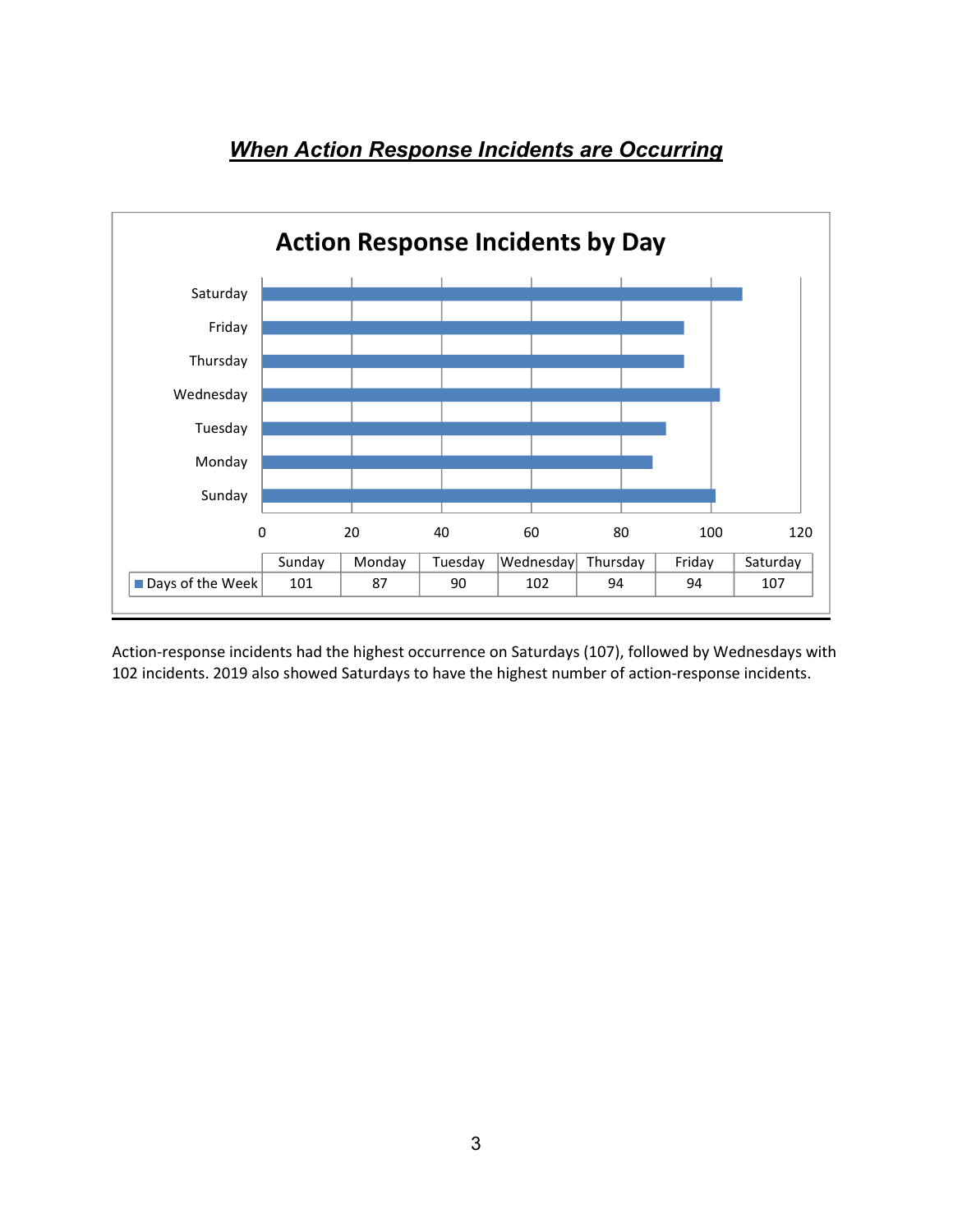

## **When Action Response Incidents are Occurring**

Action-response incidents had the highest occurrence on Saturdays (107), followed by Wednesdays with 102 incidents. 2019 also showed Saturdays to have the highest number of action-response incidents.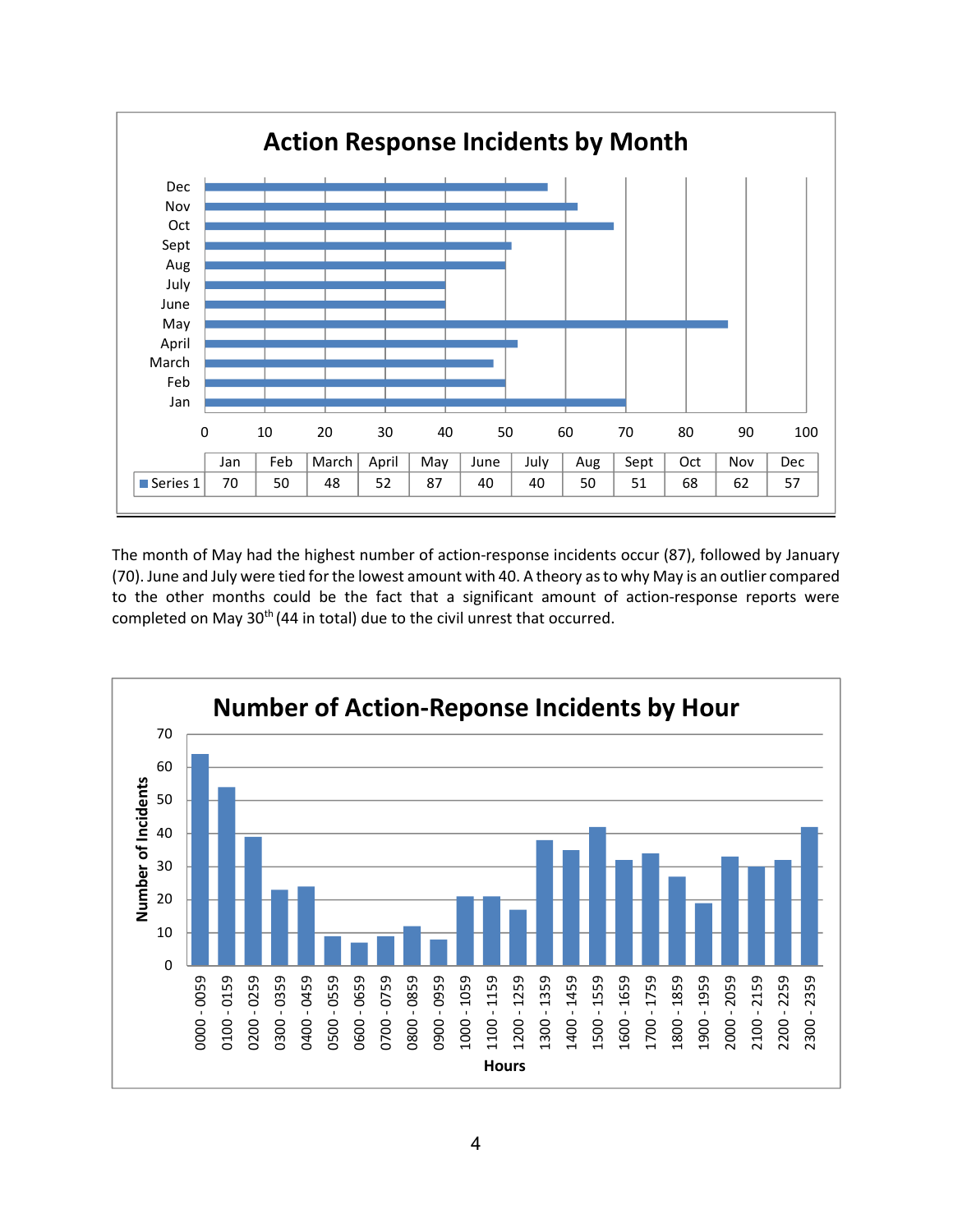

The month of May had the highest number of action-response incidents occur (87), followed by January (70). June and July were tied for the lowest amount with 40. A theory as to why May is an outlier compared to the other months could be the fact that a significant amount of action-response reports were completed on May 30<sup>th</sup> (44 in total) due to the civil unrest that occurred.

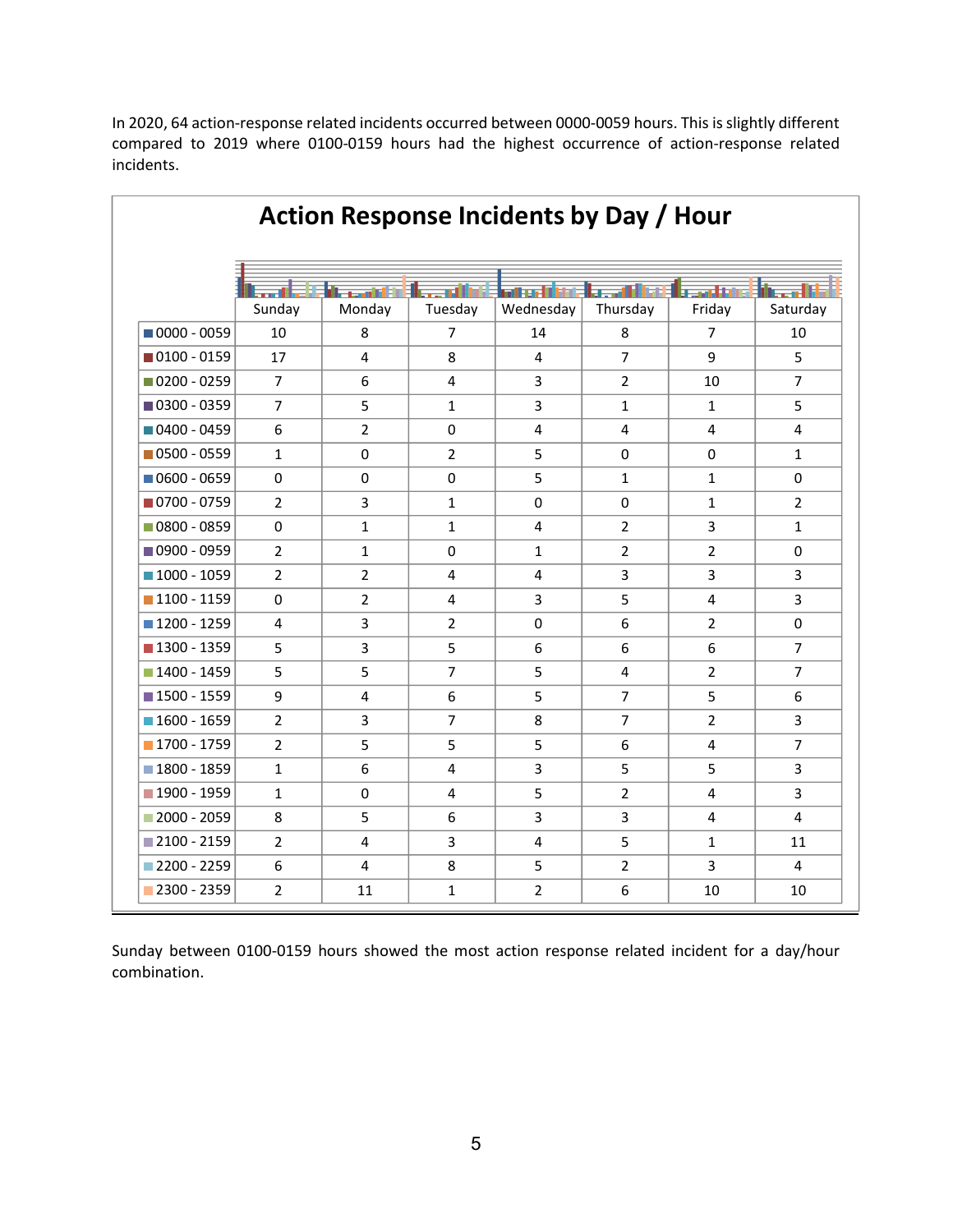ſ

| In 2020, 64 action-response related incidents occurred between 0000-0059 hours. This is slightly different<br>compared to 2019 where 0100-0159 hours had the highest occurrence of action-response related |                |                  |                |                                         |                                        |                |                     |
|------------------------------------------------------------------------------------------------------------------------------------------------------------------------------------------------------------|----------------|------------------|----------------|-----------------------------------------|----------------------------------------|----------------|---------------------|
| incidents.                                                                                                                                                                                                 |                |                  |                |                                         |                                        |                |                     |
|                                                                                                                                                                                                            |                |                  |                |                                         |                                        |                |                     |
|                                                                                                                                                                                                            |                |                  |                |                                         |                                        |                |                     |
|                                                                                                                                                                                                            |                |                  |                | Action Response Incidents by Day / Hour |                                        |                |                     |
|                                                                                                                                                                                                            |                |                  |                |                                         |                                        |                |                     |
|                                                                                                                                                                                                            |                |                  |                |                                         |                                        |                |                     |
|                                                                                                                                                                                                            |                | di secondo della | Electricity    |                                         | <b>First First Figure 1988</b> and the |                | <b>Ethecal Link</b> |
| $10000 - 0059$                                                                                                                                                                                             | Sunday         | Monday           | Tuesday        | Wednesday                               | Thursday                               | Friday         | Saturday            |
|                                                                                                                                                                                                            | 10             | 8                | $\overline{7}$ | 14                                      | 8                                      | 7              | 10                  |
| $\blacksquare$ 0100 - 0159                                                                                                                                                                                 | 17             | 4                | 8              | 4                                       | $\overline{7}$                         | 9              | 5                   |
| $\blacksquare$ 0200 - 0259                                                                                                                                                                                 | $\overline{7}$ | 6                | 4              | 3                                       | $\overline{2}$                         | 10             | $\overline{7}$      |
| ■ 0300 - 0359                                                                                                                                                                                              | $\overline{7}$ | 5                | $\mathbf{1}$   | 3                                       | $\mathbf{1}$                           | $\mathbf{1}$   | 5                   |
| $\blacksquare$ 0400 - 0459                                                                                                                                                                                 | 6              | $\overline{2}$   | $\mathbf 0$    | 4                                       | $\overline{4}$                         | $\overline{4}$ | 4                   |
| $\blacksquare$ 0500 - 0559                                                                                                                                                                                 | $\mathbf{1}$   | $\mathbf 0$      | 2              | 5                                       | 0                                      | 0              | $\mathbf{1}$        |
| $\blacksquare$ 0600 - 0659                                                                                                                                                                                 | 0              | 0                | 0              | 5                                       | $\mathbf{1}$                           | $\mathbf{1}$   | 0                   |
| ■ 0700 - 0759                                                                                                                                                                                              | $\overline{2}$ | 3                | $\mathbf{1}$   | $\mathbf 0$                             | $\mathbf 0$                            | $\mathbf{1}$   | $\overline{2}$      |
| $\blacksquare$ 0800 - 0859                                                                                                                                                                                 | 0              | $\mathbf{1}$     | $\mathbf{1}$   | 4                                       | $\overline{2}$                         | 3              | $\mathbf{1}$        |
| ■ 0900 - 0959                                                                                                                                                                                              | $\overline{2}$ | $\mathbf{1}$     | $\mathbf 0$    | $\mathbf{1}$                            | $\overline{2}$                         | $\overline{2}$ | 0                   |
| $1000 - 1059$                                                                                                                                                                                              | $\overline{2}$ | $\overline{2}$   | 4              | 4                                       | 3                                      | 3              | 3                   |
| $1100 - 1159$                                                                                                                                                                                              | 0              | $\overline{2}$   | 4              | 3                                       | 5                                      | 4              | 3                   |
| $\blacksquare$ 1200 - 1259                                                                                                                                                                                 | 4              | $\mathbf{3}$     | $\overline{2}$ | 0                                       | 6                                      | $\overline{2}$ | 0                   |
| $\blacksquare$ 1300 - 1359                                                                                                                                                                                 | 5              | 3                | 5              | 6                                       | 6                                      | 6              | $\overline{7}$      |
| $\blacksquare$ 1400 - 1459                                                                                                                                                                                 | 5              | 5                | $\overline{7}$ | 5                                       | $\overline{\mathbf{4}}$                | $\overline{2}$ | $\overline{7}$      |
| $\blacksquare$ 1500 - 1559                                                                                                                                                                                 | 9              | $\overline{4}$   | 6              | 5                                       | $\overline{7}$                         | 5              | 6                   |
| $\blacksquare$ 1600 - 1659                                                                                                                                                                                 | $\overline{2}$ | $\mathbf{3}$     | $\overline{7}$ | 8                                       | $\overline{7}$                         | $\overline{2}$ | $\mathbf{3}$        |
| $\blacksquare$ 1700 - 1759                                                                                                                                                                                 | $\overline{2}$ | 5                | 5              | 5                                       | 6                                      | 4              | 7 <sup>1</sup>      |
| $1800 - 1859$                                                                                                                                                                                              | $\mathbf{1}$   | 6                | 4              | $\mathbf{3}$                            | 5                                      | 5              | $\mathbf{3}$        |
| $\blacksquare$ 1900 - 1959                                                                                                                                                                                 | $\mathbf{1}$   | 0                | 4              | 5                                       | $\overline{2}$                         | 4              | $\mathbf{3}$        |
| $2000 - 2059$                                                                                                                                                                                              | 8              | 5                | 6              | $\mathbf{3}$                            | $\mathbf{3}$                           | 4              | $\overline{4}$      |
| $\blacksquare$ 2100 - 2159                                                                                                                                                                                 | $\overline{2}$ | 4                | $\mathbf{3}$   | 4                                       | 5                                      | $\mathbf{1}$   | 11                  |
| $2200 - 2259$<br>2300 - 2359                                                                                                                                                                               | 6              | 4                | 8              | 5                                       | $\overline{2}$                         | 3              | 4                   |
|                                                                                                                                                                                                            | $\overline{2}$ | 11               | $\mathbf{1}$   | $\overline{2}$                          | 6                                      | 10             | 10                  |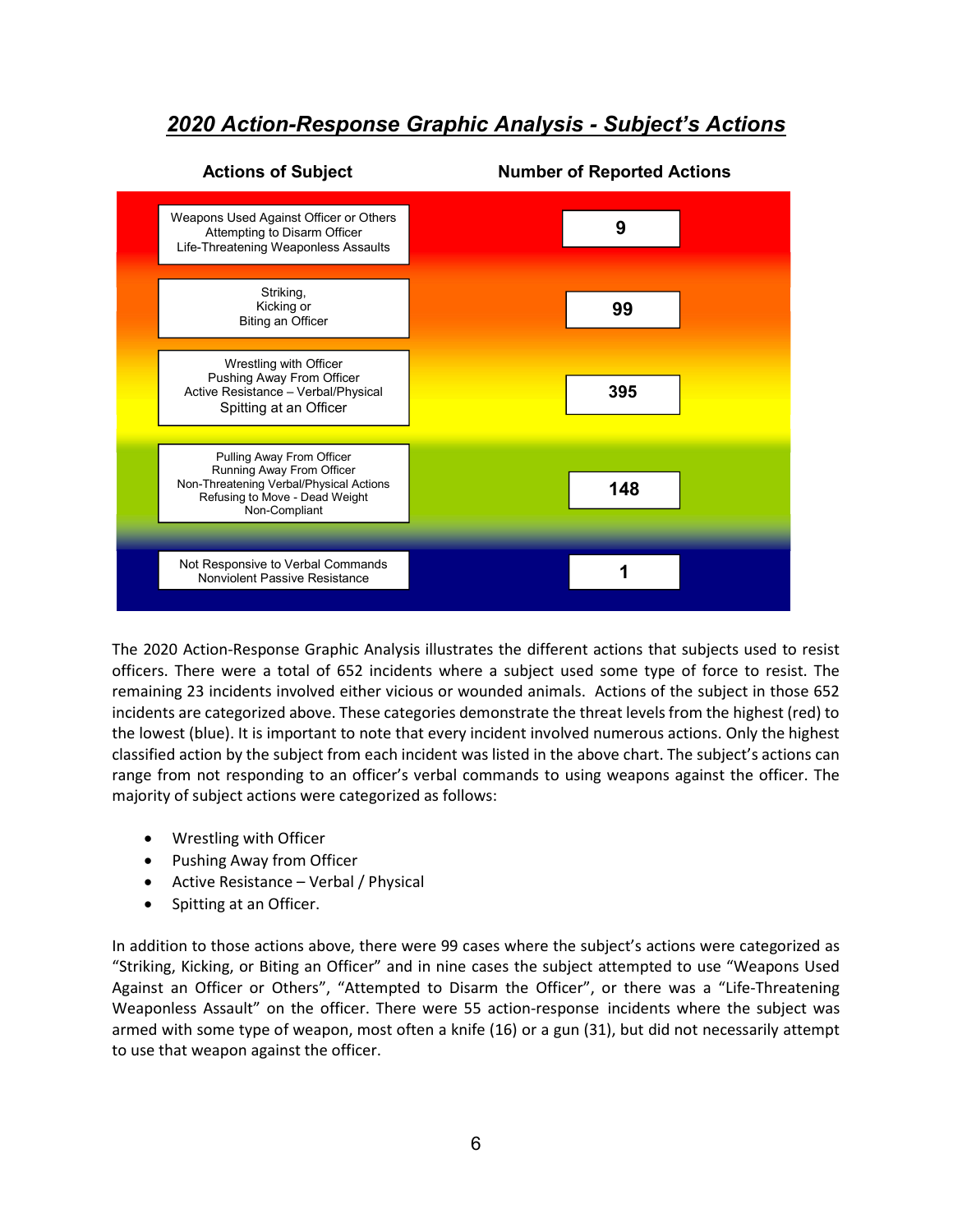### 2020 Action-Response Graphic Analysis - Subject's Actions



The 2020 Action-Response Graphic Analysis illustrates the different actions that subjects used to resist officers. There were a total of 652 incidents where a subject used some type of force to resist. The remaining 23 incidents involved either vicious or wounded animals. Actions of the subject in those 652 incidents are categorized above. These categories demonstrate the threat levels from the highest (red) to the lowest (blue). It is important to note that every incident involved numerous actions. Only the highest classified action by the subject from each incident was listed in the above chart. The subject's actions can range from not responding to an officer's verbal commands to using weapons against the officer. The majority of subject actions were categorized as follows:

- Wrestling with Officer
- Pushing Away from Officer
- Active Resistance Verbal / Physical
- Spitting at an Officer.

In addition to those actions above, there were 99 cases where the subject's actions were categorized as "Striking, Kicking, or Biting an Officer" and in nine cases the subject attempted to use "Weapons Used Against an Officer or Others", "Attempted to Disarm the Officer", or there was a "Life-Threatening Weaponless Assault" on the officer. There were 55 action-response incidents where the subject was armed with some type of weapon, most often a knife (16) or a gun (31), but did not necessarily attempt to use that weapon against the officer.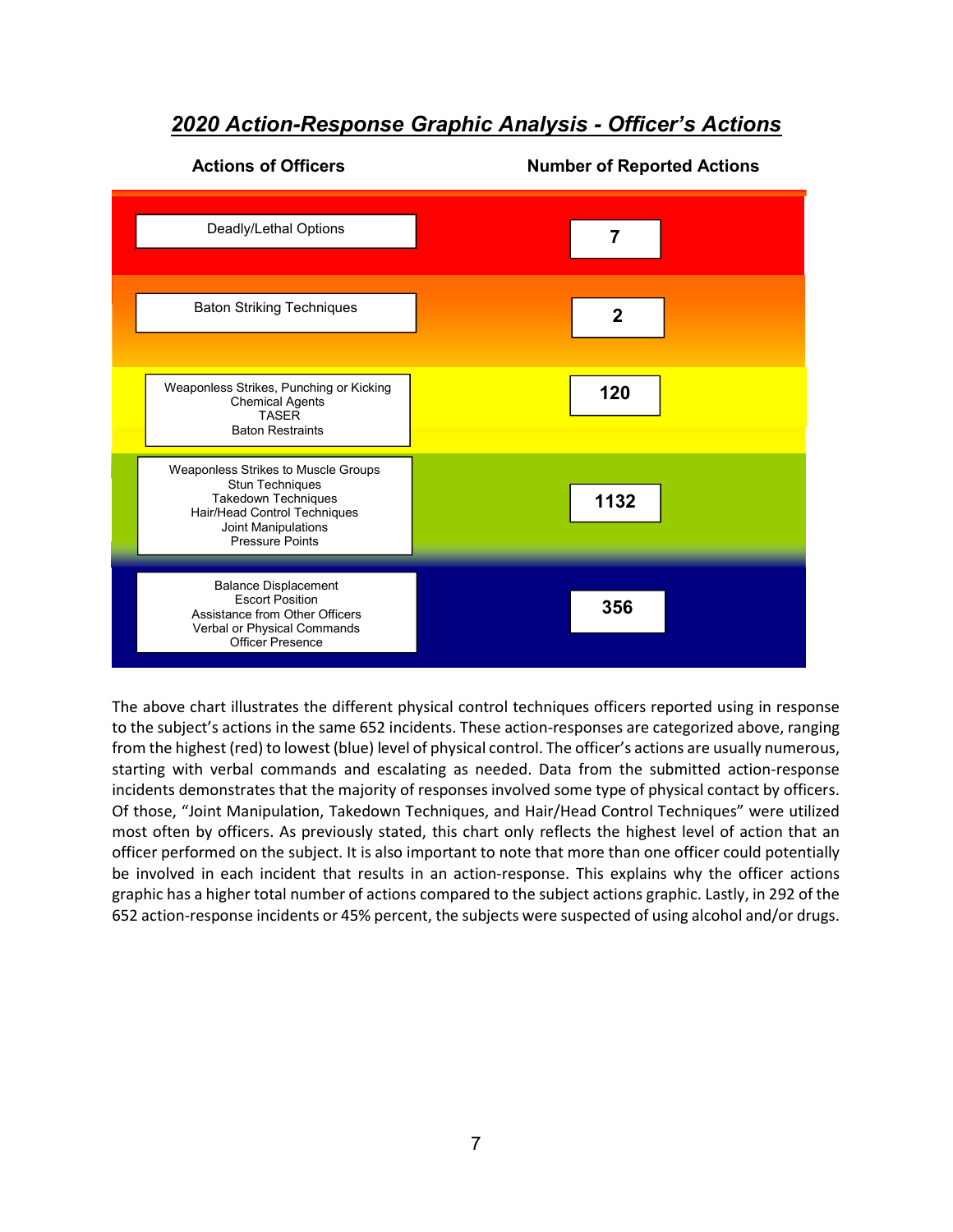#### 2020 Action-Response Graphic Analysis - Officer's Actions

#### Actions of Officers **Number of Reported Actions** Deadly/Lethal Options Baton Striking Techniques Weaponless Strikes, Punching or Kicking Chemical Agents TASER Baton Restraints Weaponless Strikes to Muscle Groups Stun Techniques Takedown Techniques Hair/Head Control Techniques Joint Manipulations Pressure Points Balance Displacement Escort Position Assistance from Other Officers Verbal or Physical Commands Officer Presence 2 7 120 1132 356

The above chart illustrates the different physical control techniques officers reported using in response to the subject's actions in the same 652 incidents. These action-responses are categorized above, ranging from the highest (red) to lowest (blue) level of physical control. The officer's actions are usually numerous, starting with verbal commands and escalating as needed. Data from the submitted action-response incidents demonstrates that the majority of responses involved some type of physical contact by officers. Of those, "Joint Manipulation, Takedown Techniques, and Hair/Head Control Techniques" were utilized most often by officers. As previously stated, this chart only reflects the highest level of action that an officer performed on the subject. It is also important to note that more than one officer could potentially be involved in each incident that results in an action-response. This explains why the officer actions graphic has a higher total number of actions compared to the subject actions graphic. Lastly, in 292 of the 652 action-response incidents or 45% percent, the subjects were suspected of using alcohol and/or drugs.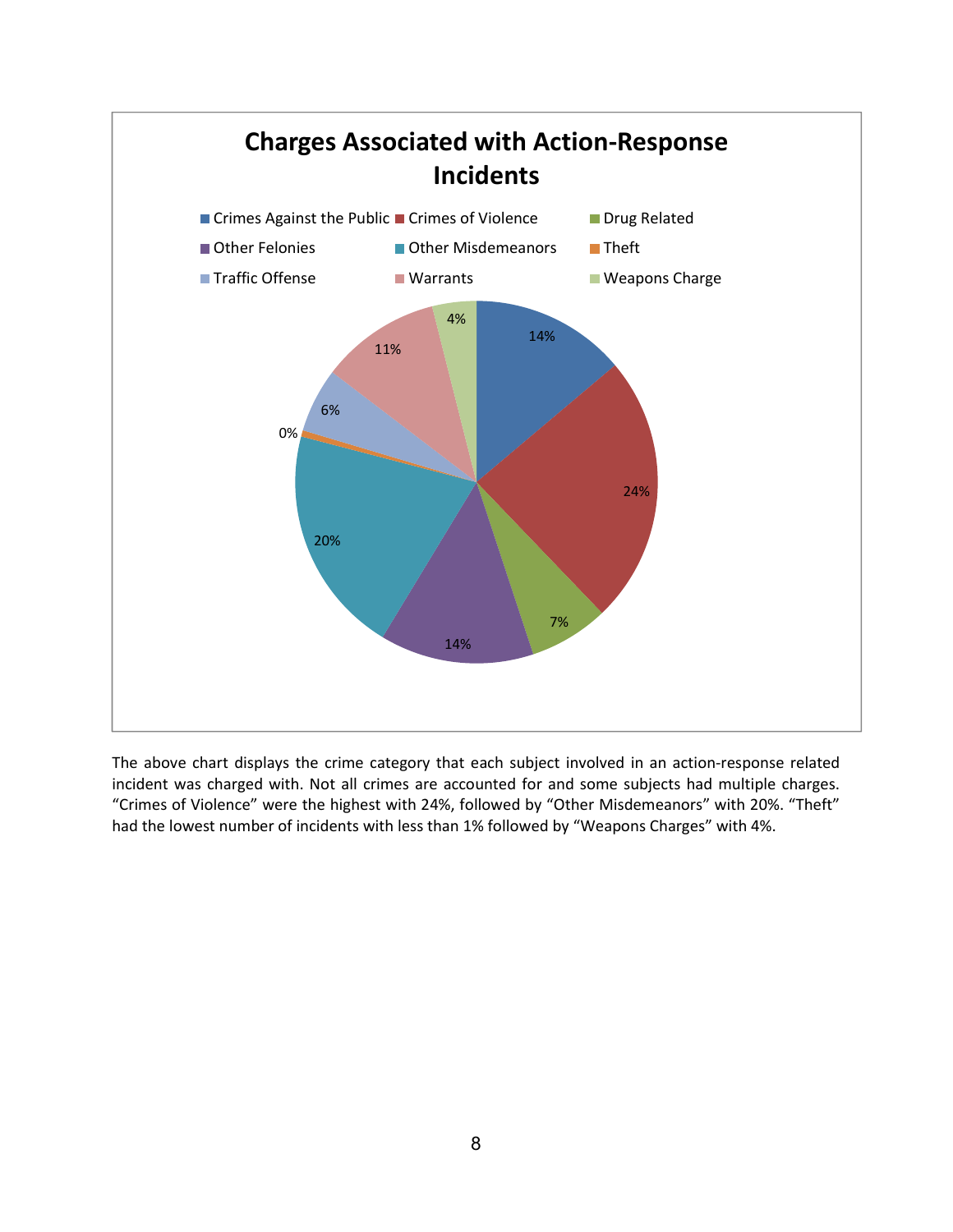

The above chart displays the crime category that each subject involved in an action-response related incident was charged with. Not all crimes are accounted for and some subjects had multiple charges. "Crimes of Violence" were the highest with 24%, followed by "Other Misdemeanors" with 20%. "Theft" had the lowest number of incidents with less than 1% followed by "Weapons Charges" with 4%.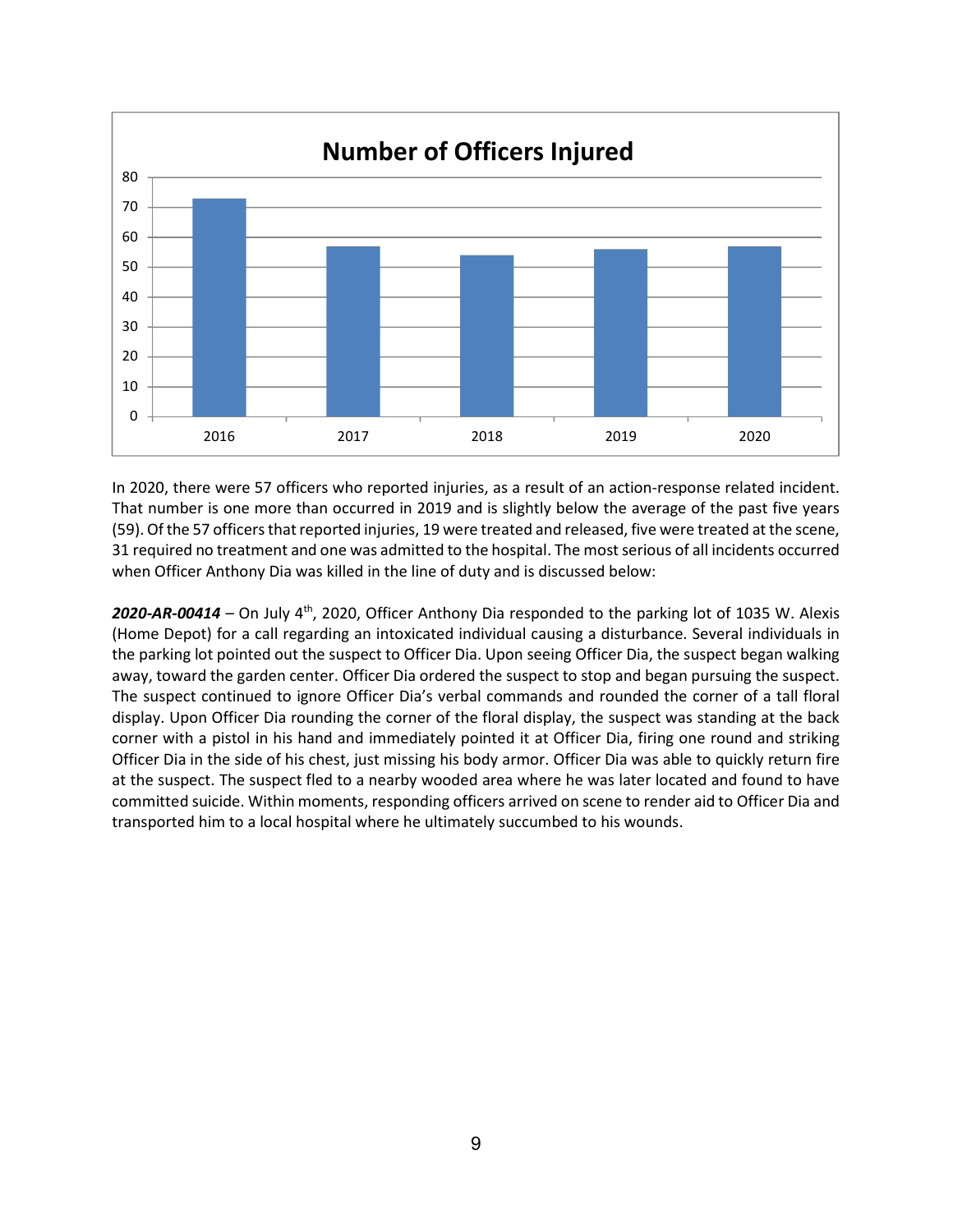

In 2020, there were 57 officers who reported injuries, as a result of an action-response related incident. That number is one more than occurred in 2019 and is slightly below the average of the past five years (59). Of the 57 officers that reported injuries, 19 were treated and released, five were treated at the scene, 31 required no treatment and one was admitted to the hospital. The most serious of all incidents occurred when Officer Anthony Dia was killed in the line of duty and is discussed below:

**2020-AR-00414** – On July 4<sup>th</sup>, 2020, Officer Anthony Dia responded to the parking lot of 1035 W. Alexis (Home Depot) for a call regarding an intoxicated individual causing a disturbance. Several individuals in the parking lot pointed out the suspect to Officer Dia. Upon seeing Officer Dia, the suspect began walking away, toward the garden center. Officer Dia ordered the suspect to stop and began pursuing the suspect. The suspect continued to ignore Officer Dia's verbal commands and rounded the corner of a tall floral display. Upon Officer Dia rounding the corner of the floral display, the suspect was standing at the back corner with a pistol in his hand and immediately pointed it at Officer Dia, firing one round and striking Officer Dia in the side of his chest, just missing his body armor. Officer Dia was able to quickly return fire at the suspect. The suspect fled to a nearby wooded area where he was later located and found to have committed suicide. Within moments, responding officers arrived on scene to render aid to Officer Dia and transported him to a local hospital where he ultimately succumbed to his wounds.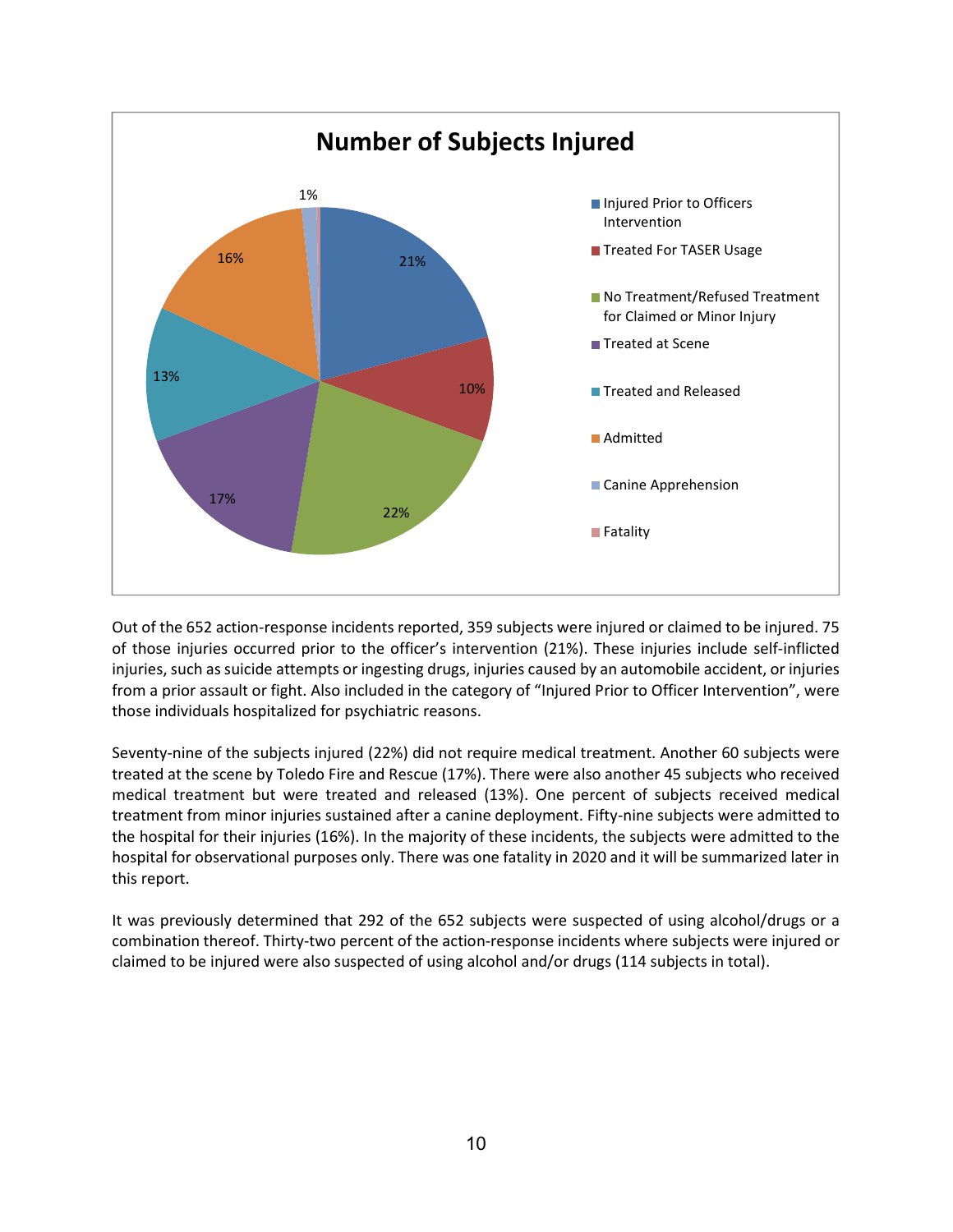

Out of the 652 action-response incidents reported, 359 subjects were injured or claimed to be injured. 75 of those injuries occurred prior to the officer's intervention (21%). These injuries include self-inflicted injuries, such as suicide attempts or ingesting drugs, injuries caused by an automobile accident, or injuries from a prior assault or fight. Also included in the category of "Injured Prior to Officer Intervention", were those individuals hospitalized for psychiatric reasons.

Seventy-nine of the subjects injured (22%) did not require medical treatment. Another 60 subjects were treated at the scene by Toledo Fire and Rescue (17%). There were also another 45 subjects who received medical treatment but were treated and released (13%). One percent of subjects received medical treatment from minor injuries sustained after a canine deployment. Fifty-nine subjects were admitted to the hospital for their injuries (16%). In the majority of these incidents, the subjects were admitted to the hospital for observational purposes only. There was one fatality in 2020 and it will be summarized later in this report.

It was previously determined that 292 of the 652 subjects were suspected of using alcohol/drugs or a combination thereof. Thirty-two percent of the action-response incidents where subjects were injured or claimed to be injured were also suspected of using alcohol and/or drugs (114 subjects in total).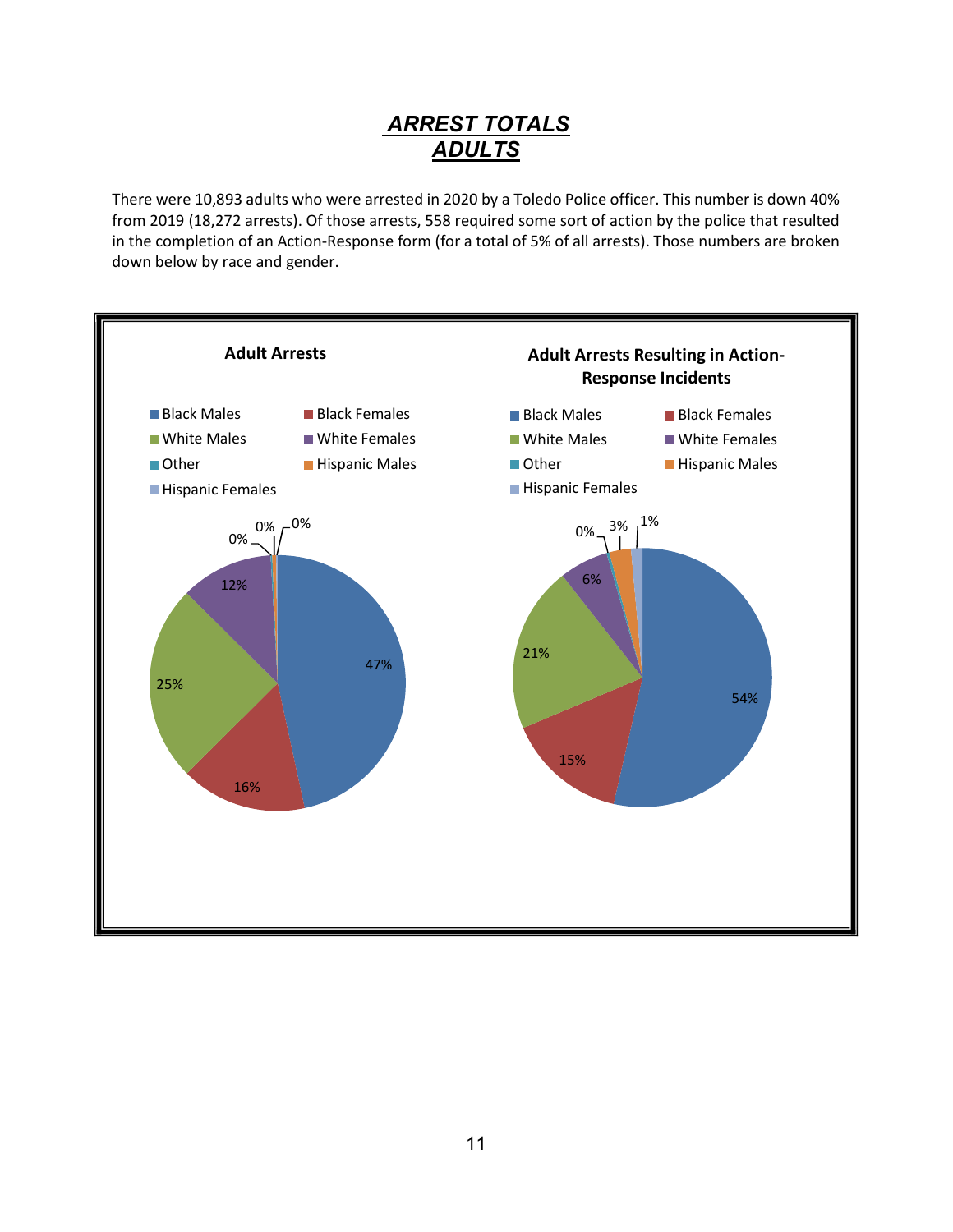# ARREST TOTALS ADULTS

There were 10,893 adults who were arrested in 2020 by a Toledo Police officer. This number is down 40% from 2019 (18,272 arrests). Of those arrests, 558 required some sort of action by the police that resulted in the completion of an Action-Response form (for a total of 5% of all arrests). Those numbers are broken down below by race and gender.

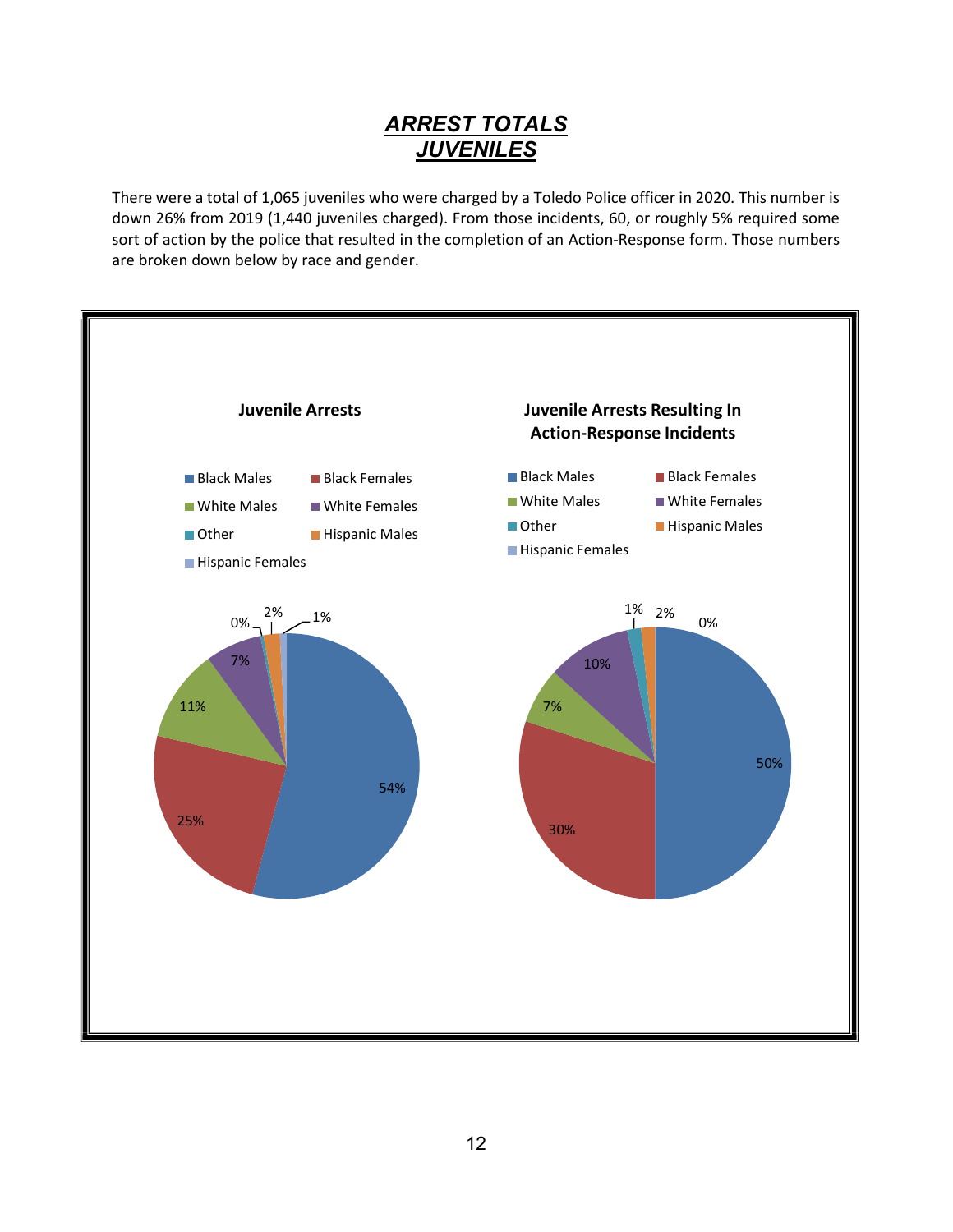# ARREST TOTALS JUVENILES

There were a total of 1,065 juveniles who were charged by a Toledo Police officer in 2020. This number is down 26% from 2019 (1,440 juveniles charged). From those incidents, 60, or roughly 5% required some sort of action by the police that resulted in the completion of an Action-Response form. Those numbers are broken down below by race and gender.

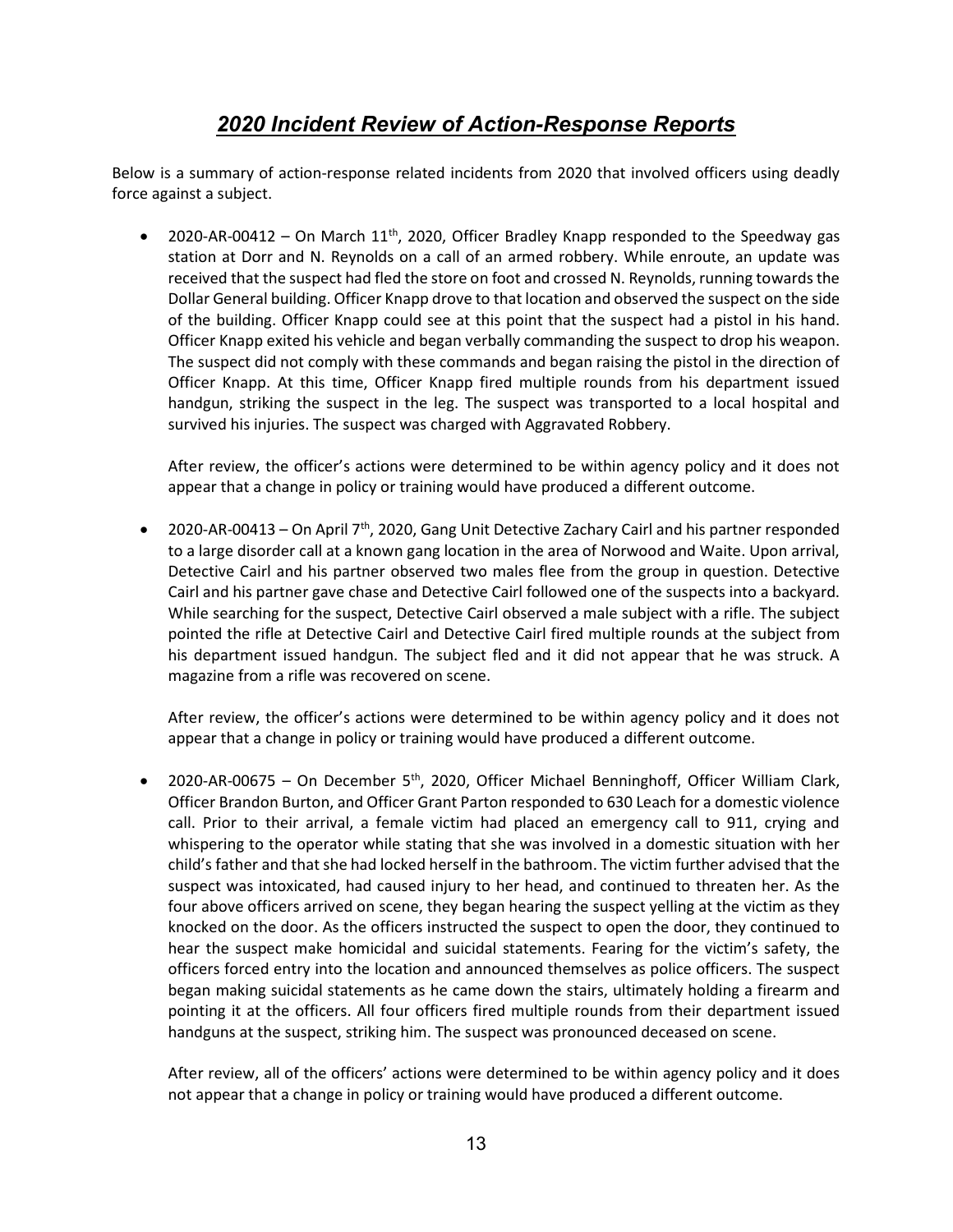# 2020 Incident Review of Action-Response Reports

Below is a summary of action-response related incidents from 2020 that involved officers using deadly force against a subject.

2020-AR-00412 – On March  $11<sup>th</sup>$ , 2020, Officer Bradley Knapp responded to the Speedway gas station at Dorr and N. Reynolds on a call of an armed robbery. While enroute, an update was received that the suspect had fled the store on foot and crossed N. Reynolds, running towards the Dollar General building. Officer Knapp drove to that location and observed the suspect on the side of the building. Officer Knapp could see at this point that the suspect had a pistol in his hand. Officer Knapp exited his vehicle and began verbally commanding the suspect to drop his weapon. The suspect did not comply with these commands and began raising the pistol in the direction of Officer Knapp. At this time, Officer Knapp fired multiple rounds from his department issued handgun, striking the suspect in the leg. The suspect was transported to a local hospital and survived his injuries. The suspect was charged with Aggravated Robbery.

After review, the officer's actions were determined to be within agency policy and it does not appear that a change in policy or training would have produced a different outcome.

2020-AR-00413 – On April  $7<sup>th</sup>$ , 2020, Gang Unit Detective Zachary Cairl and his partner responded to a large disorder call at a known gang location in the area of Norwood and Waite. Upon arrival, Detective Cairl and his partner observed two males flee from the group in question. Detective Cairl and his partner gave chase and Detective Cairl followed one of the suspects into a backyard. While searching for the suspect, Detective Cairl observed a male subject with a rifle. The subject pointed the rifle at Detective Cairl and Detective Cairl fired multiple rounds at the subject from his department issued handgun. The subject fled and it did not appear that he was struck. A magazine from a rifle was recovered on scene.

After review, the officer's actions were determined to be within agency policy and it does not appear that a change in policy or training would have produced a different outcome.

• 2020-AR-00675 – On December 5<sup>th</sup>, 2020, Officer Michael Benninghoff, Officer William Clark, Officer Brandon Burton, and Officer Grant Parton responded to 630 Leach for a domestic violence call. Prior to their arrival, a female victim had placed an emergency call to 911, crying and whispering to the operator while stating that she was involved in a domestic situation with her child's father and that she had locked herself in the bathroom. The victim further advised that the suspect was intoxicated, had caused injury to her head, and continued to threaten her. As the four above officers arrived on scene, they began hearing the suspect yelling at the victim as they knocked on the door. As the officers instructed the suspect to open the door, they continued to hear the suspect make homicidal and suicidal statements. Fearing for the victim's safety, the officers forced entry into the location and announced themselves as police officers. The suspect began making suicidal statements as he came down the stairs, ultimately holding a firearm and pointing it at the officers. All four officers fired multiple rounds from their department issued handguns at the suspect, striking him. The suspect was pronounced deceased on scene.

After review, all of the officers' actions were determined to be within agency policy and it does not appear that a change in policy or training would have produced a different outcome.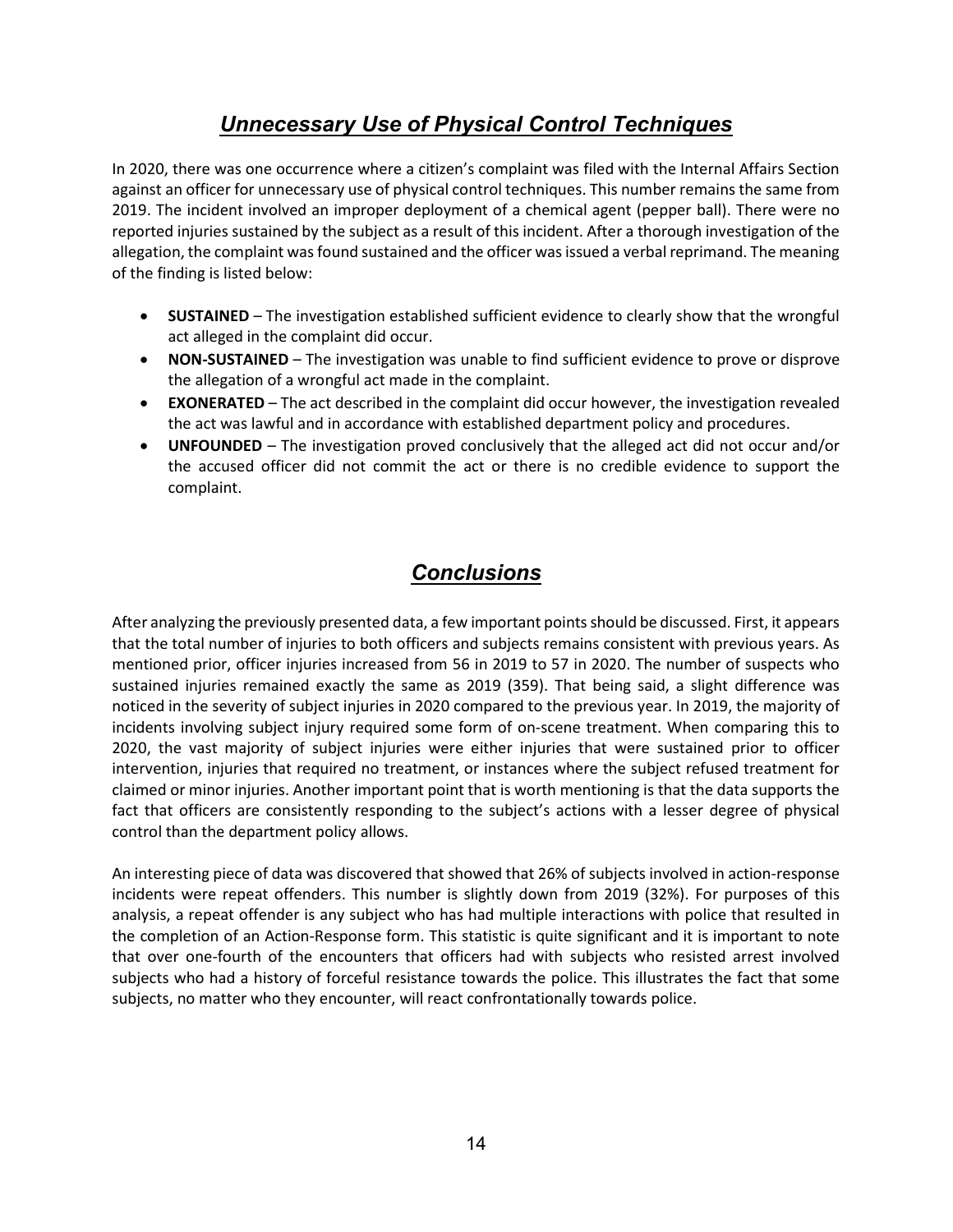# Unnecessary Use of Physical Control Techniques

In 2020, there was one occurrence where a citizen's complaint was filed with the Internal Affairs Section against an officer for unnecessary use of physical control techniques. This number remains the same from 2019. The incident involved an improper deployment of a chemical agent (pepper ball). There were no reported injuries sustained by the subject as a result of this incident. After a thorough investigation of the allegation, the complaint was found sustained and the officer was issued a verbal reprimand. The meaning of the finding is listed below:

- SUSTAINED The investigation established sufficient evidence to clearly show that the wrongful act alleged in the complaint did occur.
- NON-SUSTAINED The investigation was unable to find sufficient evidence to prove or disprove the allegation of a wrongful act made in the complaint.
- EXONERATED The act described in the complaint did occur however, the investigation revealed the act was lawful and in accordance with established department policy and procedures.
- UNFOUNDED The investigation proved conclusively that the alleged act did not occur and/or the accused officer did not commit the act or there is no credible evidence to support the complaint.

# **Conclusions**

After analyzing the previously presented data, a few important points should be discussed. First, it appears that the total number of injuries to both officers and subjects remains consistent with previous years. As mentioned prior, officer injuries increased from 56 in 2019 to 57 in 2020. The number of suspects who sustained injuries remained exactly the same as 2019 (359). That being said, a slight difference was noticed in the severity of subject injuries in 2020 compared to the previous year. In 2019, the majority of incidents involving subject injury required some form of on-scene treatment. When comparing this to 2020, the vast majority of subject injuries were either injuries that were sustained prior to officer intervention, injuries that required no treatment, or instances where the subject refused treatment for claimed or minor injuries. Another important point that is worth mentioning is that the data supports the fact that officers are consistently responding to the subject's actions with a lesser degree of physical control than the department policy allows.

An interesting piece of data was discovered that showed that 26% of subjects involved in action-response incidents were repeat offenders. This number is slightly down from 2019 (32%). For purposes of this analysis, a repeat offender is any subject who has had multiple interactions with police that resulted in the completion of an Action-Response form. This statistic is quite significant and it is important to note that over one-fourth of the encounters that officers had with subjects who resisted arrest involved subjects who had a history of forceful resistance towards the police. This illustrates the fact that some subjects, no matter who they encounter, will react confrontationally towards police.